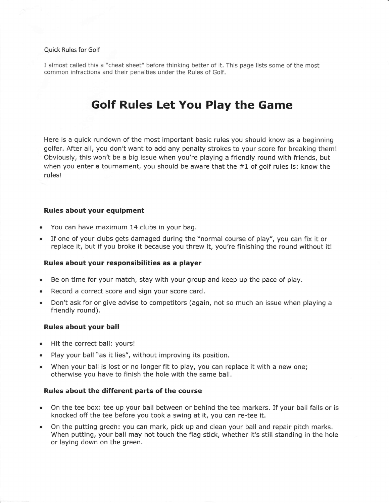# Quick Rules for Golf

I almost called this a "cheat sheet" before thinking better of it. This page lists some of the most common infractions and their penalties under the Rules of Golf.

# Golf Rules Let You Play the Game

Here is a quick rundown of the most important basic rules you should know as a beginning golfer. After all, you don't want to add any penalty strokes to your score for breaking them! Obviously, this won't be a big issue when you're playing a friendly round with friends, but when you enter a tournament, you should be aware that the  $#1$  of golf rules is; know the rules!

## Rules about your equipment

- . You can have maximum 14 clubs in your bag.
- . If one of your clubs gets damaged during the "normal course of play", you can fix it or replace it, but if you broke it because you threw it, you're finishing the round without it!

## Rules about your responsibilities as a player

- Be on time for your match, stay with your group and keep up the pace of play.
- . Record a correct score and sign your score card,
- . Don't ask for or give advise to competitors (again, not so much an issue when playing <sup>a</sup> friendly round).

## Rules about your ball

- o Hit the correct ball: yours!
- o Play your ball "as it lies", without improving its position.
- When your ball is lost or no longer fit to play, you can replace it with a new one; otherwise you have to finish the hole with the same ball.

## Rules about the different parts of the course

- . On the tee box: tee up your ball between or behind the tee markers. If your ball falls or is knocked off the tee before you took a swing at it, you can re-tee it.
- . On the putting greeh: you can mark, pick up and clean your ball and repair pitch marks. When putting, your ball may not touch the flag stick, whether it's still standing in the hole or laying down on the green.